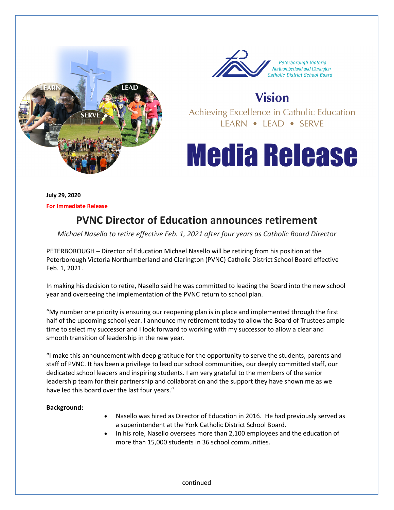



**Vision** 

Achieving Excellence in Catholic Education LEARN • LEAD • SERVE

## **Media Release**

**July 29, 2020 For Immediate Release** 

## **PVNC Director of Education announces retirement**

*Michael Nasello to retire effective Feb. 1, 2021 after four years as Catholic Board Director* 

PETERBOROUGH – Director of Education Michael Nasello will be retiring from his position at the Peterborough Victoria Northumberland and Clarington (PVNC) Catholic District School Board effective Feb. 1, 2021.

In making his decision to retire, Nasello said he was committed to leading the Board into the new school year and overseeing the implementation of the PVNC return to school plan.

"My number one priority is ensuring our reopening plan is in place and implemented through the first half of the upcoming school year. I announce my retirement today to allow the Board of Trustees ample time to select my successor and I look forward to working with my successor to allow a clear and smooth transition of leadership in the new year.

"I make this announcement with deep gratitude for the opportunity to serve the students, parents and staff of PVNC. It has been a privilege to lead our school communities, our deeply committed staff, our dedicated school leaders and inspiring students. I am very grateful to the members of the senior leadership team for their partnership and collaboration and the support they have shown me as we have led this board over the last four years."

## **Background:**

- Nasello was hired as Director of Education in 2016. He had previously served as a superintendent at the York Catholic District School Board.
- In his role, Nasello oversees more than 2,100 employees and the education of more than 15,000 students in 36 school communities.

continued